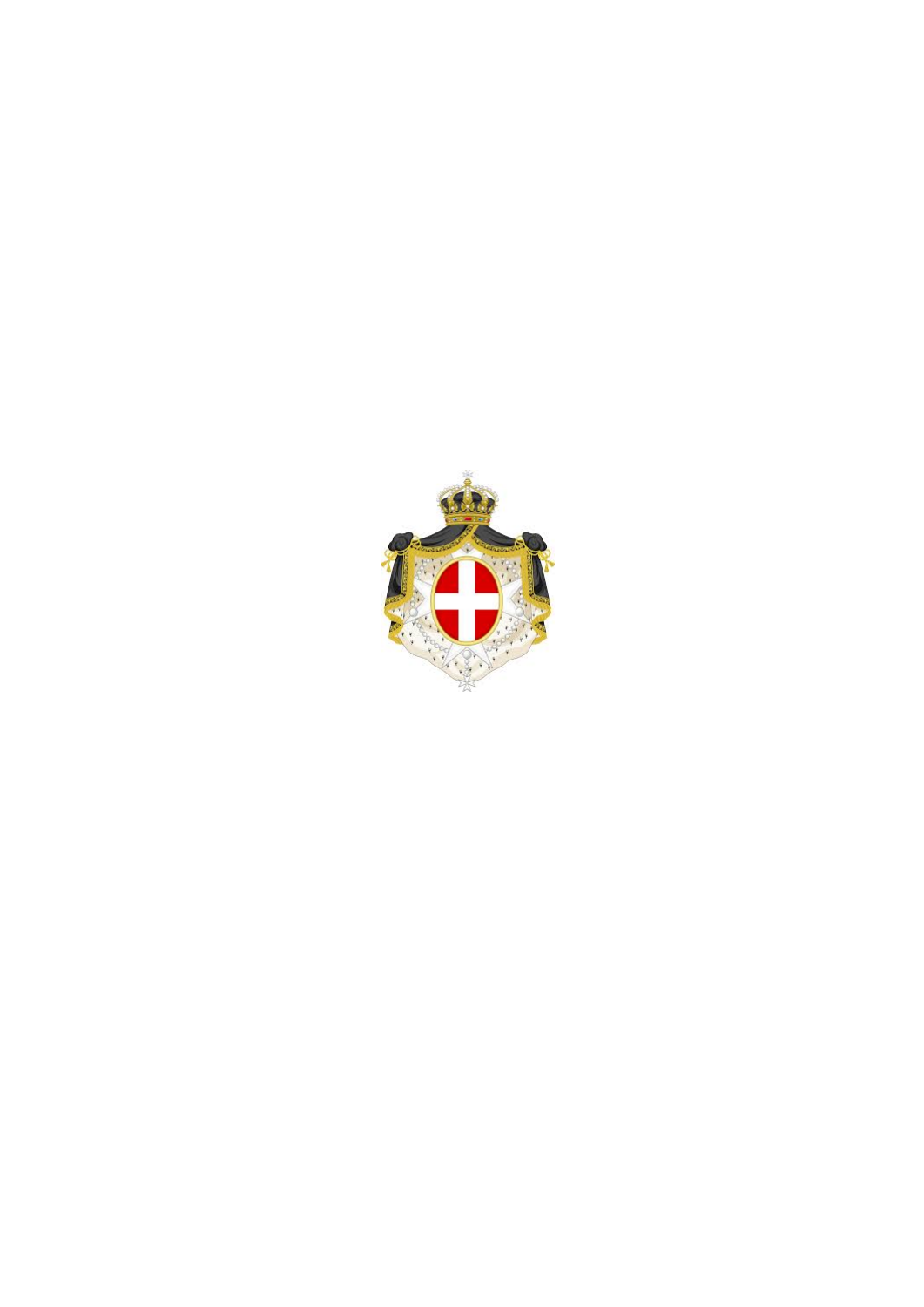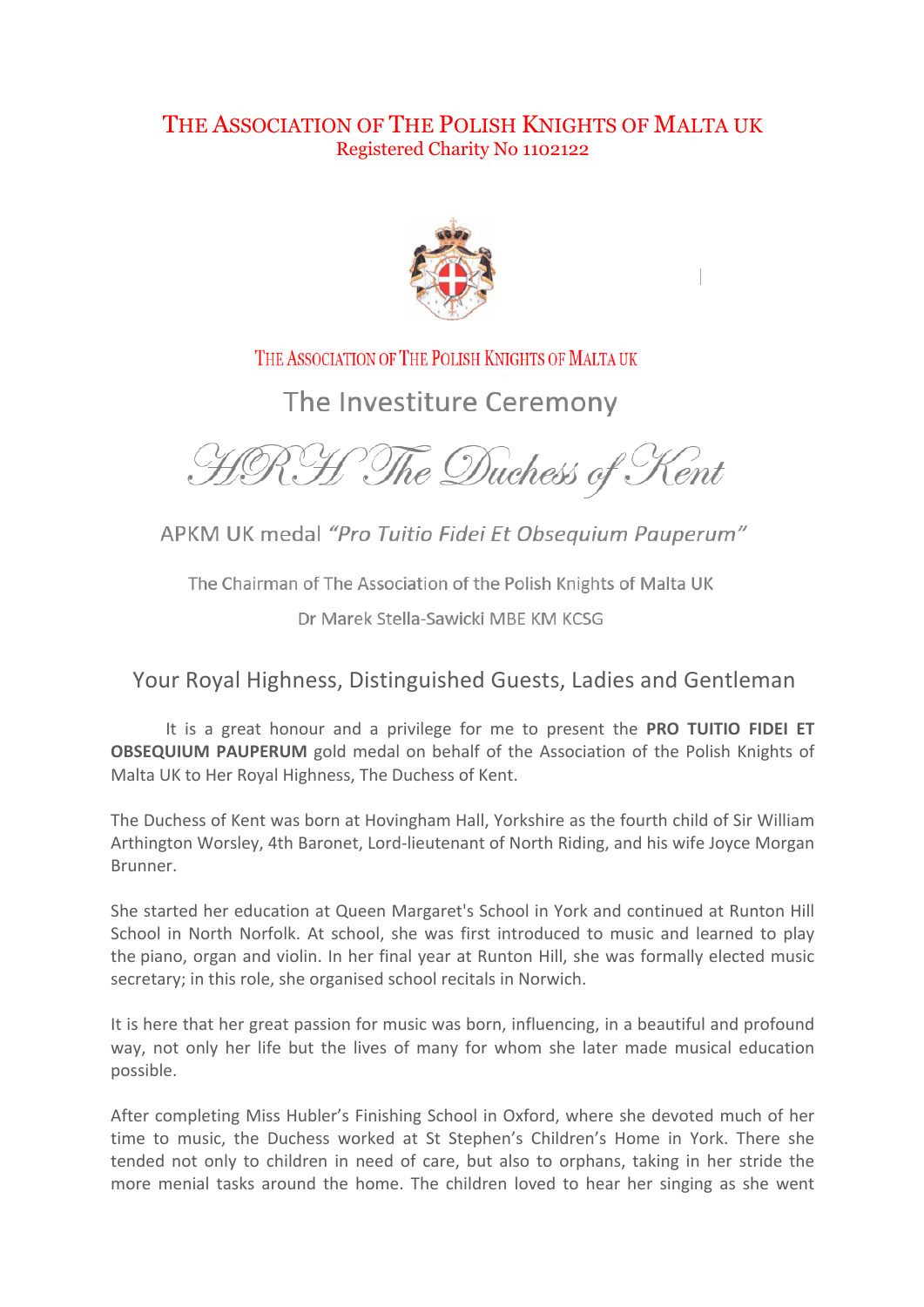## THE ASSOCIATION OF THE POLISH KNIGHTS OF MALTA UK Registered Charity No 1102122



## THE ASSOCIATION OF THE POLISH KNIGHTS OF MALTA UK

The Investiture Ceremony

HRH The Duchess of Kent

APKM UK medal "Pro Tuitio Fidei Et Obsequium Pauperum"

The Chairman of The Association of the Polish Knights of Malta UK

Dr Marek Stella-Sawicki MBE KM KCSG

## Your Royal Highness, Distinguished Guests, Ladies and Gentleman

It is a great honour and a privilege for me to present the **PRO TUITIO FIDEI ET OBSEQUIUM PAUPERUM** gold medal on behalf of the Association of the Polish Knights of Malta UK to Her Royal Highness, The Duchess of Kent.

The Duchess of Kent was born at Hovingham Hall, Yorkshire as the fourth child of Sir William Arthington Worsley, 4th Baronet, Lord-lieutenant of North Riding, and his wife Joyce Morgan Brunner. 

She started her education at Queen Margaret's School in York and continued at Runton Hill School in North Norfolk. At school, she was first introduced to music and learned to play the piano, organ and violin. In her final year at Runton Hill, she was formally elected music secretary; in this role, she organised school recitals in Norwich.

It is here that her great passion for music was born, influencing, in a beautiful and profound way, not only her life but the lives of many for whom she later made musical education possible. 

After completing Miss Hubler's Finishing School in Oxford, where she devoted much of her time to music, the Duchess worked at St Stephen's Children's Home in York. There she tended not only to children in need of care, but also to orphans, taking in her stride the more menial tasks around the home. The children loved to hear her singing as she went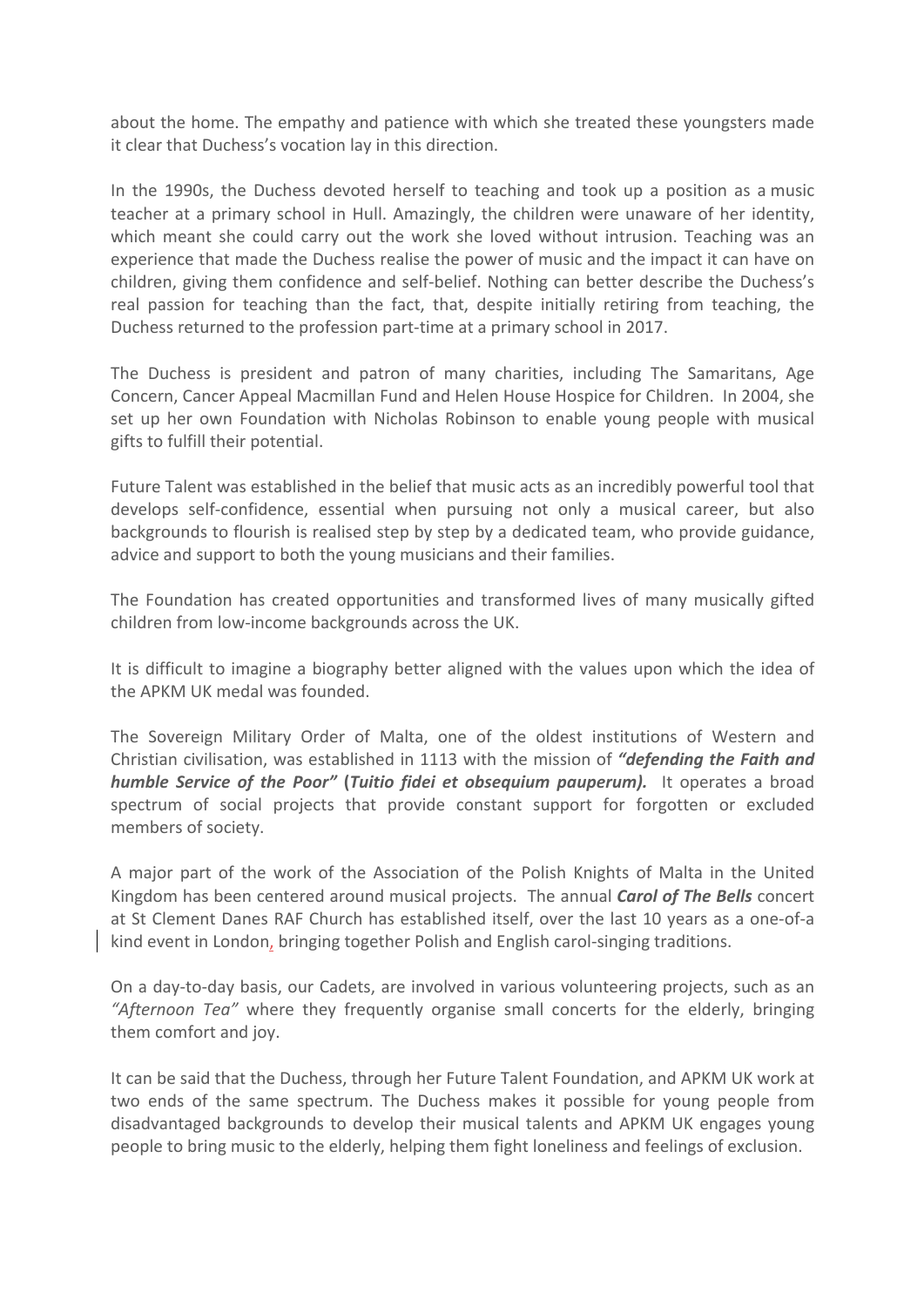about the home. The empathy and patience with which she treated these youngsters made it clear that Duchess's vocation lay in this direction.

In the 1990s, the Duchess devoted herself to teaching and took up a position as a music teacher at a primary school in Hull. Amazingly, the children were unaware of her identity, which meant she could carry out the work she loved without intrusion. Teaching was an experience that made the Duchess realise the power of music and the impact it can have on children, giving them confidence and self-belief. Nothing can better describe the Duchess's real passion for teaching than the fact, that, despite initially retiring from teaching, the Duchess returned to the profession part-time at a primary school in 2017.

The Duchess is president and patron of many charities, including The Samaritans, Age Concern, Cancer Appeal Macmillan Fund and Helen House Hospice for Children. In 2004, she set up her own Foundation with Nicholas Robinson to enable young people with musical gifts to fulfill their potential.

Future Talent was established in the belief that music acts as an incredibly powerful tool that develops self-confidence, essential when pursuing not only a musical career, but also backgrounds to flourish is realised step by step by a dedicated team, who provide guidance, advice and support to both the young musicians and their families.

The Foundation has created opportunities and transformed lives of many musically gifted children from low-income backgrounds across the UK.

It is difficult to imagine a biography better aligned with the values upon which the idea of the APKM UK medal was founded.

The Sovereign Military Order of Malta, one of the oldest institutions of Western and Christian civilisation, was established in 1113 with the mission of "defending the Faith and *humble Service of the Poor"* (*Tuitio fidei et obsequium pauperum*). It operates a broad spectrum of social projects that provide constant support for forgotten or excluded members of society.

A major part of the work of the Association of the Polish Knights of Malta in the United Kingdom has been centered around musical projects. The annual *Carol of The Bells* concert at St Clement Danes RAF Church has established itself, over the last 10 years as a one-of-a kind event in London, bringing together Polish and English carol-singing traditions.

On a day-to-day basis, our Cadets, are involved in various volunteering projects, such as an "Afternoon Tea" where they frequently organise small concerts for the elderly, bringing them comfort and joy.

It can be said that the Duchess, through her Future Talent Foundation, and APKM UK work at two ends of the same spectrum. The Duchess makes it possible for young people from disadvantaged backgrounds to develop their musical talents and APKM UK engages voung people to bring music to the elderly, helping them fight loneliness and feelings of exclusion.